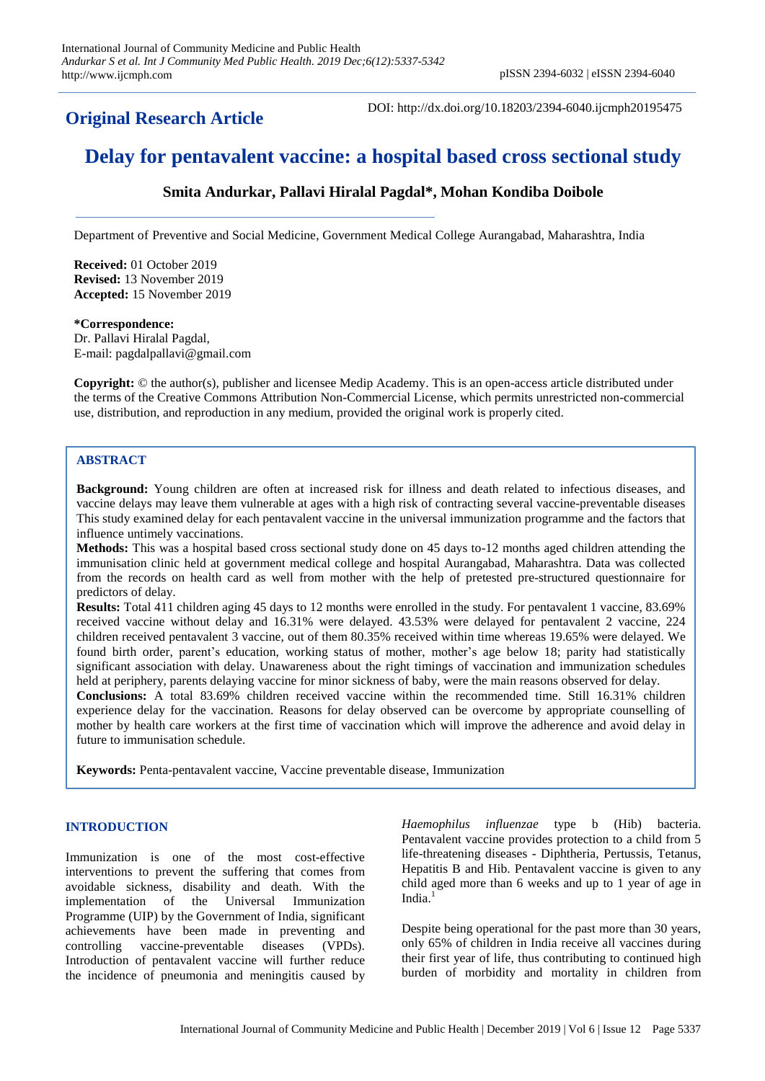## **Original Research Article**

DOI: http://dx.doi.org/10.18203/2394-6040.ijcmph20195475

# **Delay for pentavalent vaccine: a hospital based cross sectional study**

## **Smita Andurkar, Pallavi Hiralal Pagdal\*, Mohan Kondiba Doibole**

Department of Preventive and Social Medicine, Government Medical College Aurangabad, Maharashtra, India

**Received:** 01 October 2019 **Revised:** 13 November 2019 **Accepted:** 15 November 2019

#### **\*Correspondence:**

Dr. Pallavi Hiralal Pagdal, E-mail: pagdalpallavi@gmail.com

**Copyright:** © the author(s), publisher and licensee Medip Academy. This is an open-access article distributed under the terms of the Creative Commons Attribution Non-Commercial License, which permits unrestricted non-commercial use, distribution, and reproduction in any medium, provided the original work is properly cited.

## **ABSTRACT**

**Background:** Young children are often at increased risk for illness and death related to infectious diseases, and vaccine delays may leave them vulnerable at ages with a high risk of contracting several vaccine-preventable diseases This study examined delay for each pentavalent vaccine in the universal immunization programme and the factors that influence untimely vaccinations.

**Methods:** This was a hospital based cross sectional study done on 45 days to-12 months aged children attending the immunisation clinic held at government medical college and hospital Aurangabad, Maharashtra. Data was collected from the records on health card as well from mother with the help of pretested pre-structured questionnaire for predictors of delay.

**Results:** Total 411 children aging 45 days to 12 months were enrolled in the study. For pentavalent 1 vaccine, 83.69% received vaccine without delay and 16.31% were delayed. 43.53% were delayed for pentavalent 2 vaccine, 224 children received pentavalent 3 vaccine, out of them 80.35% received within time whereas 19.65% were delayed. We found birth order, parent's education, working status of mother, mother's age below 18; parity had statistically significant association with delay. Unawareness about the right timings of vaccination and immunization schedules held at periphery, parents delaying vaccine for minor sickness of baby, were the main reasons observed for delay.

**Conclusions:** A total 83.69% children received vaccine within the recommended time. Still 16.31% children experience delay for the vaccination. Reasons for delay observed can be overcome by appropriate counselling of mother by health care workers at the first time of vaccination which will improve the adherence and avoid delay in future to immunisation schedule.

**Keywords:** Penta-pentavalent vaccine, Vaccine preventable disease, Immunization

## **INTRODUCTION**

Immunization is one of the most cost-effective interventions to prevent the suffering that comes from avoidable sickness, disability and death. With the implementation of the Universal Immunization Programme (UIP) by the Government of India, significant achievements have been made in preventing and controlling vaccine-preventable diseases (VPDs). Introduction of pentavalent vaccine will further reduce the incidence of pneumonia and meningitis caused by

*Haemophilus influenzae* type b (Hib) bacteria. Pentavalent vaccine provides protection to a child from 5 life-threatening diseases - Diphtheria, Pertussis, Tetanus, Hepatitis B and Hib. Pentavalent vaccine is given to any child aged more than 6 weeks and up to 1 year of age in India. 1

Despite being operational for the past more than 30 years, only 65% of children in India receive all vaccines during their first year of life, thus contributing to continued high burden of morbidity and mortality in children from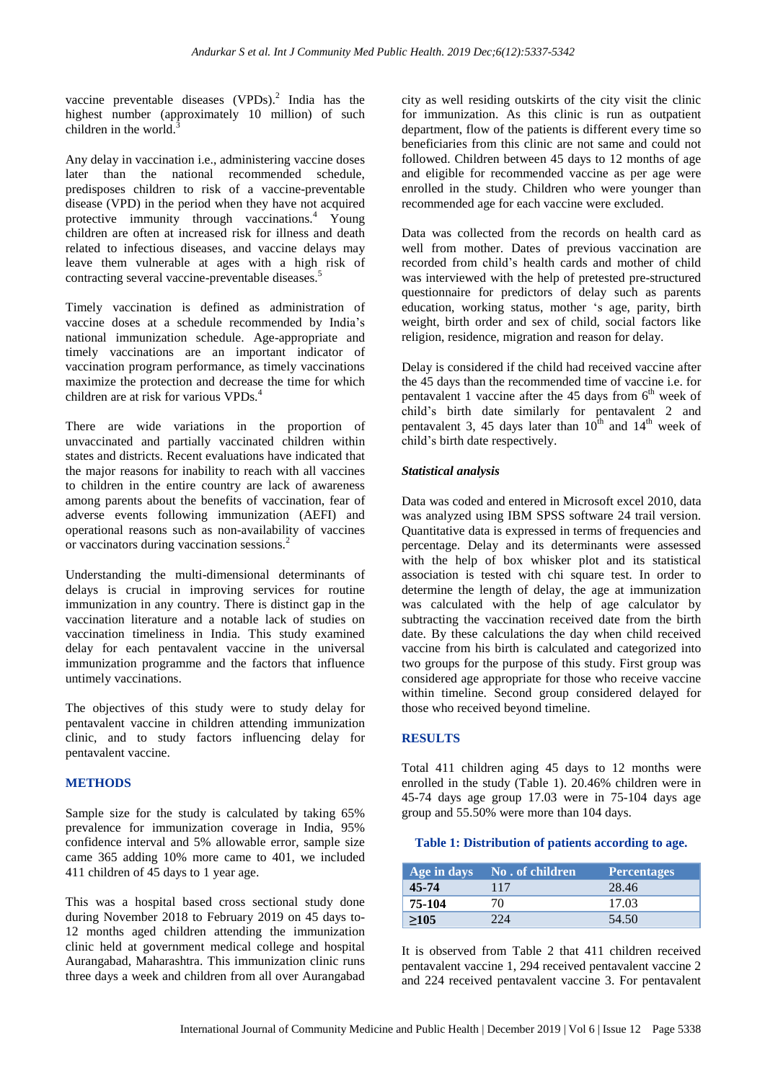vaccine preventable diseases  $(VPDs)$ .<sup>2</sup> India has the highest number (approximately 10 million) of such children in the world. $\frac{3}{5}$ 

Any delay in vaccination i.e., administering vaccine doses later than the national recommended schedule, predisposes children to risk of a vaccine-preventable disease (VPD) in the period when they have not acquired protective immunity through vaccinations.<sup>4</sup> Young children are often at increased risk for illness and death related to infectious diseases, and vaccine delays may leave them vulnerable at ages with a high risk of contracting several vaccine-preventable diseases. 5

Timely vaccination is defined as administration of vaccine doses at a schedule recommended by India's national immunization schedule. Age-appropriate and timely vaccinations are an important indicator of vaccination program performance, as timely vaccinations maximize the protection and decrease the time for which children are at risk for various VPDs. 4

There are wide variations in the proportion of unvaccinated and partially vaccinated children within states and districts. Recent evaluations have indicated that the major reasons for inability to reach with all vaccines to children in the entire country are lack of awareness among parents about the benefits of vaccination, fear of adverse events following immunization (AEFI) and operational reasons such as non-availability of vaccines or vaccinators during vaccination sessions.<sup>2</sup>

Understanding the multi-dimensional determinants of delays is crucial in improving services for routine immunization in any country. There is distinct gap in the vaccination literature and a notable lack of studies on vaccination timeliness in India. This study examined delay for each pentavalent vaccine in the universal immunization programme and the factors that influence untimely vaccinations.

The objectives of this study were to study delay for pentavalent vaccine in children attending immunization clinic, and to study factors influencing delay for pentavalent vaccine.

## **METHODS**

Sample size for the study is calculated by taking 65% prevalence for immunization coverage in India, 95% confidence interval and 5% allowable error, sample size came 365 adding 10% more came to 401, we included 411 children of 45 days to 1 year age.

This was a hospital based cross sectional study done during November 2018 to February 2019 on 45 days to-12 months aged children attending the immunization clinic held at government medical college and hospital Aurangabad, Maharashtra. This immunization clinic runs three days a week and children from all over Aurangabad

city as well residing outskirts of the city visit the clinic for immunization. As this clinic is run as outpatient department, flow of the patients is different every time so beneficiaries from this clinic are not same and could not followed. Children between 45 days to 12 months of age and eligible for recommended vaccine as per age were enrolled in the study. Children who were younger than recommended age for each vaccine were excluded.

Data was collected from the records on health card as well from mother. Dates of previous vaccination are recorded from child's health cards and mother of child was interviewed with the help of pretested pre-structured questionnaire for predictors of delay such as parents education, working status, mother 's age, parity, birth weight, birth order and sex of child, social factors like religion, residence, migration and reason for delay.

Delay is considered if the child had received vaccine after the 45 days than the recommended time of vaccine i.e. for pentavalent 1 vaccine after the 45 days from  $6<sup>th</sup>$  week of child's birth date similarly for pentavalent 2 and pentavalent 3, 45 days later than  $10^{th}$  and  $14^{th}$  week of child's birth date respectively.

## *Statistical analysis*

Data was coded and entered in Microsoft excel 2010, data was analyzed using IBM SPSS software 24 trail version. Quantitative data is expressed in terms of frequencies and percentage. Delay and its determinants were assessed with the help of box whisker plot and its statistical association is tested with chi square test. In order to determine the length of delay, the age at immunization was calculated with the help of age calculator by subtracting the vaccination received date from the birth date. By these calculations the day when child received vaccine from his birth is calculated and categorized into two groups for the purpose of this study. First group was considered age appropriate for those who receive vaccine within timeline. Second group considered delayed for those who received beyond timeline.

## **RESULTS**

Total 411 children aging 45 days to 12 months were enrolled in the study (Table 1). 20.46% children were in 45-74 days age group 17.03 were in 75-104 days age group and 55.50% were more than 104 days.

#### **Table 1: Distribution of patients according to age.**

| Age in days | 'No . of children, | <b>Percentages</b> |
|-------------|--------------------|--------------------|
| 45-74       | 117                | 28.46              |
| 75-104      | 70                 | 17.03              |
| >105        |                    | 54.50              |

It is observed from Table 2 that 411 children received pentavalent vaccine 1, 294 received pentavalent vaccine 2 and 224 received pentavalent vaccine 3. For pentavalent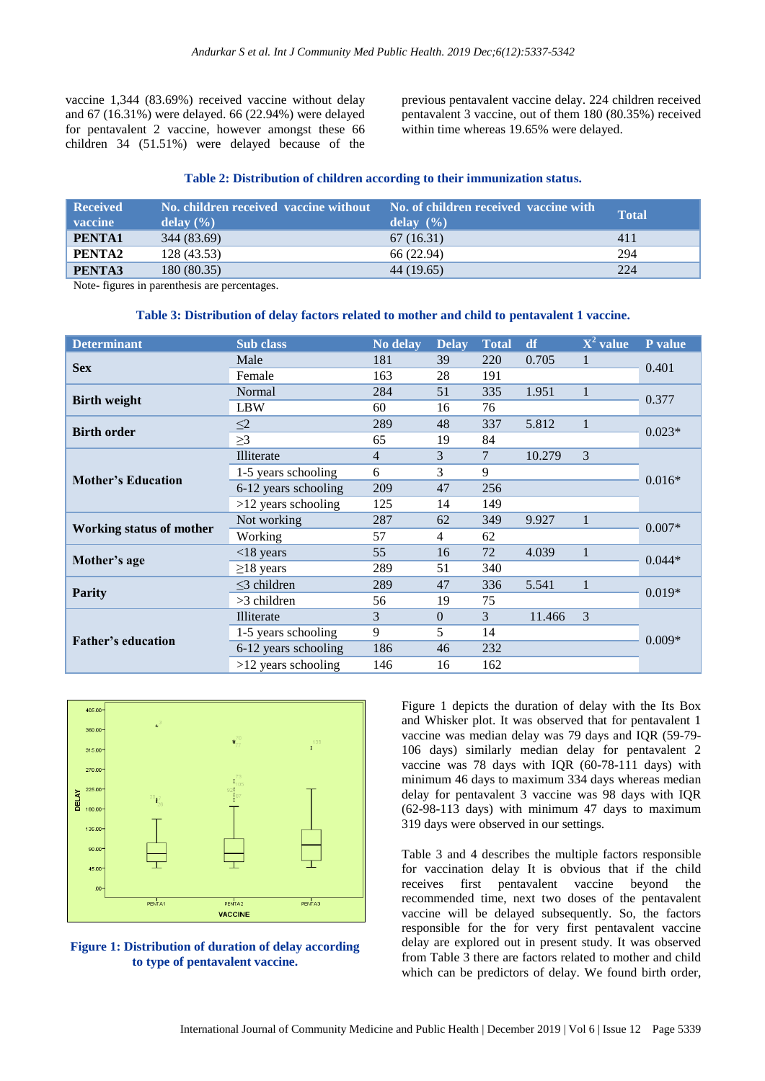vaccine 1,344 (83.69%) received vaccine without delay and 67 (16.31%) were delayed. 66 (22.94%) were delayed for pentavalent 2 vaccine, however amongst these 66 children 34 (51.51%) were delayed because of the

previous pentavalent vaccine delay. 224 children received pentavalent 3 vaccine, out of them 180 (80.35%) received within time whereas 19.65% were delayed.

#### **Table 2: Distribution of children according to their immunization status.**

| <b>Received</b><br><b>vaccine</b> | No. children received vaccine without<br>delay $(\% )$ | No. of children received vaccine with<br>delay $(\% )$ | Total |
|-----------------------------------|--------------------------------------------------------|--------------------------------------------------------|-------|
| PENTA1                            | 344 (83.69)                                            | 67(16.31)                                              | 411   |
| PENTA2                            | 128 (43.53)                                            | 66 (22.94)                                             | 294   |
| PENTA3                            | 180 (80.35)                                            | 44 (19.65)                                             | 224   |

Note- figures in parenthesis are percentages.

#### **Table 3: Distribution of delay factors related to mother and child to pentavalent 1 vaccine.**

| <b>Determinant</b>              | Sub class             | No delay       | <b>Delay</b> | <b>Total</b> | df     | $X^2$ value  | P value  |  |
|---------------------------------|-----------------------|----------------|--------------|--------------|--------|--------------|----------|--|
| <b>Sex</b>                      | Male                  | 181            | 39           | 220          | 0.705  | 1            | 0.401    |  |
|                                 | Female                | 163            | 28           | 191          |        |              |          |  |
| <b>Birth weight</b>             | Normal                | 284            | 51           | 335          | 1.951  | $\mathbf{1}$ | 0.377    |  |
|                                 | <b>LBW</b>            | 60             | 16           | 76           |        |              |          |  |
| <b>Birth order</b>              | $\leq$ 2              | 289            | 48           | 337          | 5.812  | $\mathbf{1}$ | $0.023*$ |  |
|                                 | $\geq$ 3              | 65             | 19           | 84           |        |              |          |  |
|                                 | Illiterate            | $\overline{4}$ | 3            | 7            | 10.279 | 3            | $0.016*$ |  |
| <b>Mother's Education</b>       | 1-5 years schooling   | 6              | 3            | 9            |        |              |          |  |
|                                 | 6-12 years schooling  | 209            | 47           | 256          |        |              |          |  |
|                                 | $>12$ years schooling | 125            | 14           | 149          |        |              |          |  |
| <b>Working status of mother</b> | Not working           | 287            | 62           | 349          | 9.927  | $\mathbf{1}$ | $0.007*$ |  |
|                                 | Working               | 57             | 4            | 62           |        |              |          |  |
| Mother's age                    | $<$ 18 years          | 55             | 16           | 72           | 4.039  | $\mathbf{1}$ | $0.044*$ |  |
|                                 | $\geq$ 18 years       | 289            | 51           | 340          |        |              |          |  |
| <b>Parity</b>                   | $\leq$ 3 children     | 289            | 47           | 336          | 5.541  | 1            | $0.019*$ |  |
|                                 | >3 children           | 56             | 19           | 75           |        |              |          |  |
| <b>Father's education</b>       | Illiterate            | 3              | $\Omega$     | 3            | 11.466 | 3            |          |  |
|                                 | 1-5 years schooling   | 9              | 5            | 14           |        |              | $0.009*$ |  |
|                                 | 6-12 years schooling  | 186            | 46           | 232          |        |              |          |  |
|                                 | $>12$ years schooling | 146            | 16           | 162          |        |              |          |  |



**Figure 1: Distribution of duration of delay according to type of pentavalent vaccine.**

Figure 1 depicts the duration of delay with the Its Box and Whisker plot. It was observed that for pentavalent 1 vaccine was median delay was 79 days and IQR (59-79- 106 days) similarly median delay for pentavalent 2 vaccine was 78 days with IQR (60-78-111 days) with minimum 46 days to maximum 334 days whereas median delay for pentavalent 3 vaccine was 98 days with IQR (62-98-113 days) with minimum 47 days to maximum 319 days were observed in our settings.

Table 3 and 4 describes the multiple factors responsible for vaccination delay It is obvious that if the child receives first pentavalent vaccine beyond the recommended time, next two doses of the pentavalent vaccine will be delayed subsequently. So, the factors responsible for the for very first pentavalent vaccine delay are explored out in present study. It was observed from Table 3 there are factors related to mother and child which can be predictors of delay. We found birth order,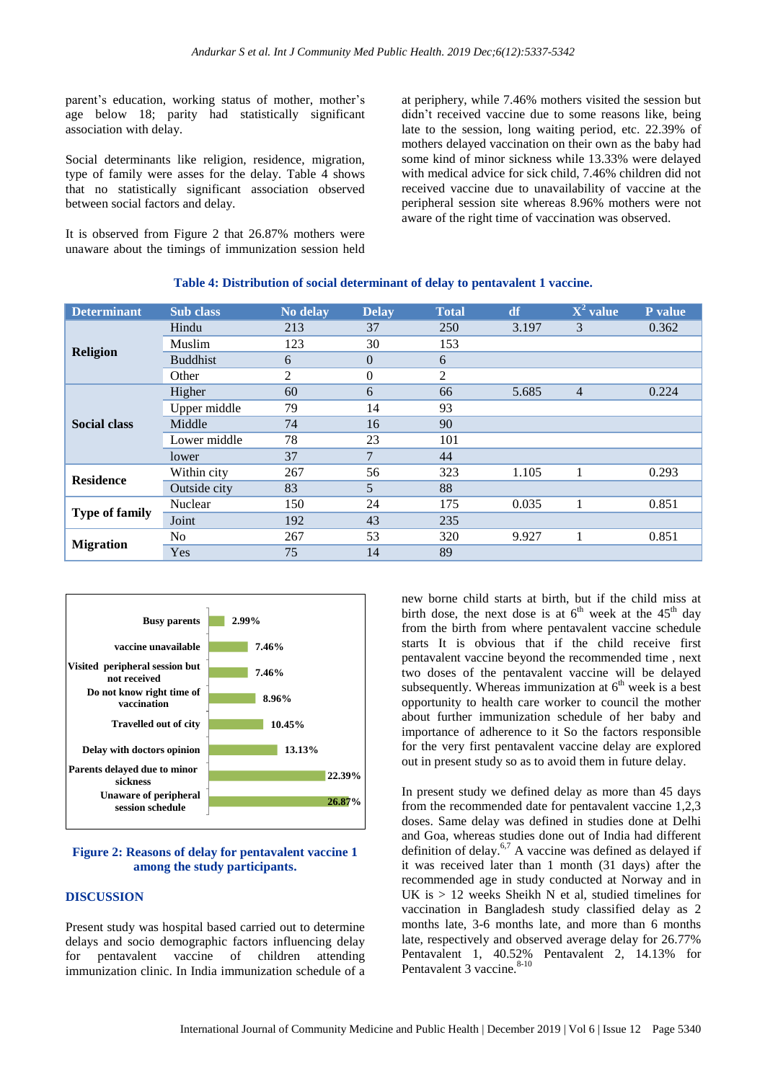parent's education, working status of mother, mother's age below 18; parity had statistically significant association with delay.

Social determinants like religion, residence, migration, type of family were asses for the delay. Table 4 shows that no statistically significant association observed between social factors and delay.

It is observed from Figure 2 that 26.87% mothers were unaware about the timings of immunization session held

at periphery, while 7.46% mothers visited the session but didn't received vaccine due to some reasons like, being late to the session, long waiting period, etc. 22.39% of mothers delayed vaccination on their own as the baby had some kind of minor sickness while 13.33% were delayed with medical advice for sick child, 7.46% children did not received vaccine due to unavailability of vaccine at the peripheral session site whereas 8.96% mothers were not aware of the right time of vaccination was observed.

| <b>Determinant</b>    | Sub class       | No delay | <b>Delay</b>   | <b>Total</b> | df    | $X^2$ value    | P value |
|-----------------------|-----------------|----------|----------------|--------------|-------|----------------|---------|
| <b>Religion</b>       | Hindu           | 213      | 37             | 250          | 3.197 | 3              | 0.362   |
|                       | Muslim          | 123      | 30             | 153          |       |                |         |
|                       | <b>Buddhist</b> | 6        | $\overline{0}$ | 6            |       |                |         |
|                       | Other           | 2        | $\Omega$       | 2            |       |                |         |
| <b>Social class</b>   | Higher          | 60       | 6              | 66           | 5.685 | $\overline{4}$ | 0.224   |
|                       | Upper middle    | 79       | 14             | 93           |       |                |         |
|                       | Middle          | 74       | 16             | 90           |       |                |         |
|                       | Lower middle    | 78       | 23             | 101          |       |                |         |
|                       | lower           | 37       | $\overline{7}$ | 44           |       |                |         |
| <b>Residence</b>      | Within city     | 267      | 56             | 323          | 1.105 |                | 0.293   |
|                       | Outside city    | 83       | 5              | 88           |       |                |         |
| <b>Type of family</b> | Nuclear         | 150      | 24             | 175          | 0.035 |                | 0.851   |
|                       | Joint           | 192      | 43             | 235          |       |                |         |
| <b>Migration</b>      | No              | 267      | 53             | 320          | 9.927 |                | 0.851   |
|                       | Yes             | 75       | 14             | 89           |       |                |         |

#### **Table 4: Distribution of social determinant of delay to pentavalent 1 vaccine.**



#### **Figure 2: Reasons of delay for pentavalent vaccine 1 among the study participants.**

## **DISCUSSION**

Present study was hospital based carried out to determine delays and socio demographic factors influencing delay for pentavalent vaccine of children attending immunization clinic. In India immunization schedule of a new borne child starts at birth, but if the child miss at birth dose, the next dose is at  $6^{th}$  week at the  $45^{th}$  day from the birth from where pentavalent vaccine schedule starts It is obvious that if the child receive first pentavalent vaccine beyond the recommended time , next two doses of the pentavalent vaccine will be delayed subsequently. Whereas immunization at  $6<sup>th</sup>$  week is a best opportunity to health care worker to council the mother about further immunization schedule of her baby and importance of adherence to it So the factors responsible for the very first pentavalent vaccine delay are explored out in present study so as to avoid them in future delay.

In present study we defined delay as more than 45 days from the recommended date for pentavalent vaccine 1,2,3 doses. Same delay was defined in studies done at Delhi and Goa, whereas studies done out of India had different definition of delay.<sup>6,7</sup> A vaccine was defined as delayed if it was received later than 1 month (31 days) after the recommended age in study conducted at Norway and in UK is  $> 12$  weeks Sheikh N et al, studied timelines for vaccination in Bangladesh study classified delay as 2 months late, 3-6 months late, and more than 6 months late, respectively and observed average delay for 26.77% Pentavalent 1, 40.52% Pentavalent 2, 14.13% for Pentavalent 3 vaccine.<sup>8-10</sup>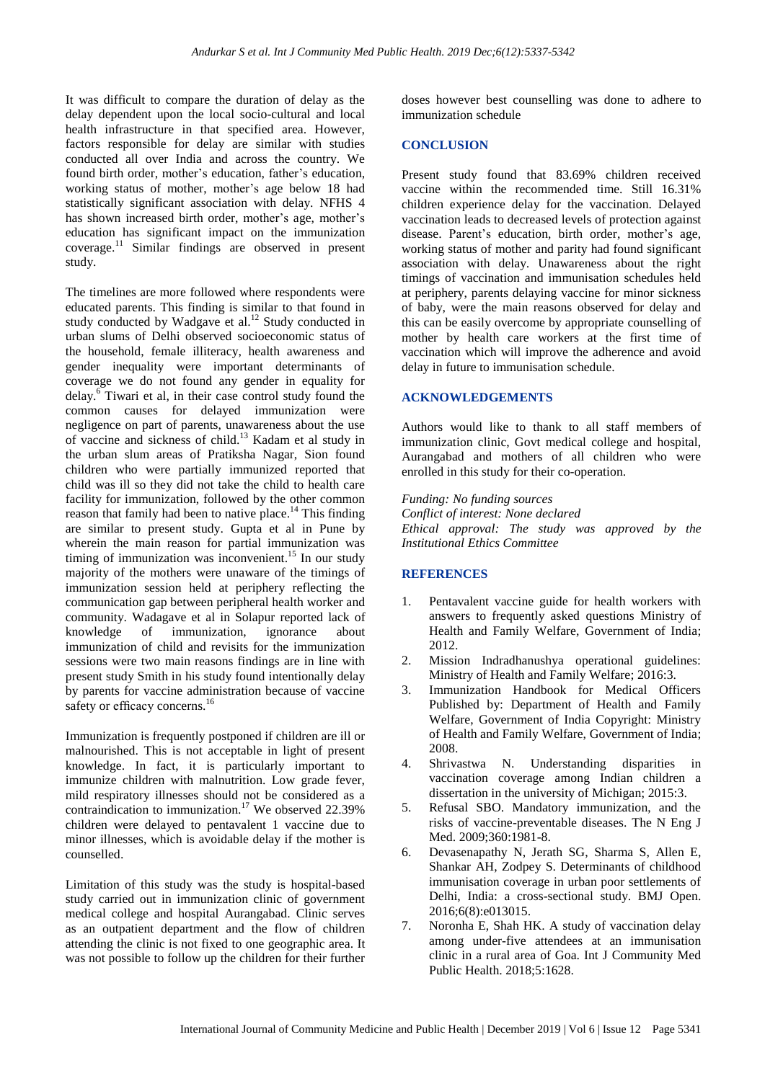It was difficult to compare the duration of delay as the delay dependent upon the local socio-cultural and local health infrastructure in that specified area. However, factors responsible for delay are similar with studies conducted all over India and across the country. We found birth order, mother's education, father's education, working status of mother, mother's age below 18 had statistically significant association with delay. NFHS 4 has shown increased birth order, mother's age, mother's education has significant impact on the immunization coverage. <sup>11</sup> Similar findings are observed in present study.

The timelines are more followed where respondents were educated parents. This finding is similar to that found in study conducted by Wadgave et al.<sup>12</sup> Study conducted in urban slums of Delhi observed socioeconomic status of the household, female illiteracy, health awareness and gender inequality were important determinants of coverage we do not found any gender in equality for delay.<sup>6</sup> Tiwari et al, in their case control study found the common causes for delayed immunization were negligence on part of parents, unawareness about the use of vaccine and sickness of child. <sup>13</sup> Kadam et al study in the urban slum areas of Pratiksha Nagar, Sion found children who were partially immunized reported that child was ill so they did not take the child to health care facility for immunization, followed by the other common reason that family had been to native place.<sup>14</sup> This finding are similar to present study. Gupta et al in Pune by wherein the main reason for partial immunization was timing of immunization was inconvenient.<sup>15</sup> In our study majority of the mothers were unaware of the timings of immunization session held at periphery reflecting the communication gap between peripheral health worker and community. Wadagave et al in Solapur reported lack of knowledge of immunization, ignorance about immunization of child and revisits for the immunization sessions were two main reasons findings are in line with present study Smith in his study found intentionally delay by parents for vaccine administration because of vaccine safety or efficacy concerns.<sup>16</sup>

Immunization is frequently postponed if children are ill or malnourished. This is not acceptable in light of present knowledge. In fact, it is particularly important to immunize children with malnutrition. Low grade fever, mild respiratory illnesses should not be considered as a contraindication to immunization. <sup>17</sup> We observed 22.39% children were delayed to pentavalent 1 vaccine due to minor illnesses, which is avoidable delay if the mother is counselled.

Limitation of this study was the study is hospital-based study carried out in immunization clinic of government medical college and hospital Aurangabad. Clinic serves as an outpatient department and the flow of children attending the clinic is not fixed to one geographic area. It was not possible to follow up the children for their further

doses however best counselling was done to adhere to immunization schedule

### **CONCLUSION**

Present study found that 83.69% children received vaccine within the recommended time. Still 16.31% children experience delay for the vaccination. Delayed vaccination leads to decreased levels of protection against disease. Parent's education, birth order, mother's age, working status of mother and parity had found significant association with delay. Unawareness about the right timings of vaccination and immunisation schedules held at periphery, parents delaying vaccine for minor sickness of baby, were the main reasons observed for delay and this can be easily overcome by appropriate counselling of mother by health care workers at the first time of vaccination which will improve the adherence and avoid delay in future to immunisation schedule.

#### **ACKNOWLEDGEMENTS**

Authors would like to thank to all staff members of immunization clinic, Govt medical college and hospital, Aurangabad and mothers of all children who were enrolled in this study for their co-operation.

*Funding: No funding sources Conflict of interest: None declared Ethical approval: The study was approved by the Institutional Ethics Committee*

## **REFERENCES**

- 1. Pentavalent vaccine guide for health workers with answers to frequently asked questions Ministry of Health and Family Welfare, Government of India; 2012.
- 2. Mission Indradhanushya operational guidelines: Ministry of Health and Family Welfare; 2016:3.
- 3. Immunization Handbook for Medical Officers Published by: Department of Health and Family Welfare, Government of India Copyright: Ministry of Health and Family Welfare, Government of India; 2008.
- 4. Shrivastwa N. Understanding disparities in vaccination coverage among Indian children a dissertation in the university of Michigan; 2015:3.
- 5. Refusal SBO. Mandatory immunization, and the risks of vaccine-preventable diseases. The N Eng J Med. 2009;360:1981-8.
- 6. Devasenapathy N, Jerath SG, Sharma S, Allen E, Shankar AH, Zodpey S. Determinants of childhood immunisation coverage in urban poor settlements of Delhi, India: a cross-sectional study. BMJ Open. 2016;6(8):e013015.
- 7. Noronha E, Shah HK. A study of vaccination delay among under-five attendees at an immunisation clinic in a rural area of Goa. Int J Community Med Public Health. 2018;5:1628.